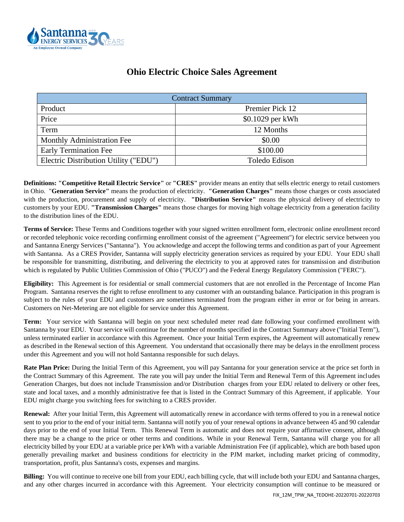

| <b>Ohio Electric Choice Sales Agreement</b> |  |  |  |
|---------------------------------------------|--|--|--|
|---------------------------------------------|--|--|--|

| <b>Contract Summary</b>               |                  |  |  |
|---------------------------------------|------------------|--|--|
| Product                               | Premier Pick 12  |  |  |
| Price                                 | \$0.1029 per kWh |  |  |
| Term                                  | 12 Months        |  |  |
| Monthly Administration Fee            | \$0.00           |  |  |
| <b>Early Termination Fee</b>          | \$100.00         |  |  |
| Electric Distribution Utility ("EDU") | Toledo Edison    |  |  |

**Definitions: "Competitive Retail Electric Service"** or **"CRES"** provider means an entity that sells electric energy to retail customers in Ohio. "**Generation Service"** means the production of electricity. **"Generation Charges"** means those charges or costs associated with the production, procurement and supply of electricity. **"Distribution Service"** means the physical delivery of electricity to customers by your EDU. **"Transmission Charges"** means those charges for moving high voltage electricity from a generation facility to the distribution lines of the EDU.

**Terms of Service:** These Terms and Conditions together with your signed written enrollment form, electronic online enrollment record or recorded telephonic voice recording confirming enrollment consist of the agreement ("Agreement") for electric service between you and Santanna Energy Services ("Santanna"). You acknowledge and accept the following terms and condition as part of your Agreement with Santanna. As a CRES Provider, Santanna will supply electricity generation services as required by your EDU. Your EDU shall be responsible for transmitting, distributing, and delivering the electricity to you at approved rates for transmission and distribution which is regulated by Public Utilities Commission of Ohio ("PUCO") and the Federal Energy Regulatory Commission ("FERC").

**Eligibility:** This Agreement is for residential or small commercial customers that are not enrolled in the Percentage of Income Plan Program. Santanna reserves the right to refuse enrollment to any customer with an outstanding balance. Participation in this program is subject to the rules of your EDU and customers are sometimes terminated from the program either in error or for being in arrears. Customers on Net-Metering are not eligible for service under this Agreement.

**Term:** Your service with Santanna will begin on your next scheduled meter read date following your confirmed enrollment with Santanna by your EDU. Your service will continue for the number of months specified in the Contract Summary above ("Initial Term"), unless terminated earlier in accordance with this Agreement. Once your Initial Term expires, the Agreement will automatically renew as described in the Renewal section of this Agreement. You understand that occasionally there may be delays in the enrollment process under this Agreement and you will not hold Santanna responsible for such delays.

**Rate Plan Price:** During the Initial Term of this Agreement, you will pay Santanna for your generation service at the price set forth in the Contract Summary of this Agreement. The rate you will pay under the Initial Term and Renewal Term of this Agreement includes Generation Charges, but does not include Transmission and/or Distribution charges from your EDU related to delivery or other fees, state and local taxes, and a monthly administrative fee that is listed in the Contract Summary of this Agreement, if applicable. Your EDU might charge you switching fees for switching to a CRES provider.

**Renewal:** After your Initial Term, this Agreement will automatically renew in accordance with terms offered to you in a renewal notice sent to you prior to the end of your initial term. Santanna will notify you of your renewal options in advance between 45 and 90 calendar days prior to the end of your Initial Term. This Renewal Term is automatic and does not require your affirmative consent, although there may be a change to the price or other terms and conditions. While in your Renewal Term, Santanna will charge you for all electricity billed by your EDU at a variable price per kWh with a variable Administration Fee (if applicable), which are both based upon generally prevailing market and business conditions for electricity in the PJM market, including market pricing of commodity, transportation, profit, plus Santanna's costs, expenses and margins.

**Billing:** You will continue to receive one bill from your EDU, each billing cycle, that will include both your EDU and Santanna charges, and any other charges incurred in accordance with this Agreement. Your electricity consumption will continue to be measured or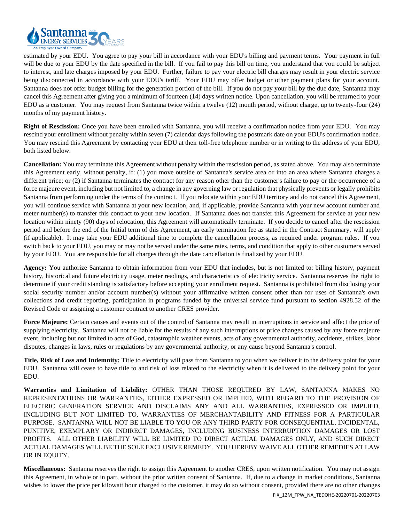

estimated by your EDU. You agree to pay your bill in accordance with your EDU's billing and payment terms. Your payment in full will be due to your EDU by the date specified in the bill. If you fail to pay this bill on time, you understand that you could be subject to interest, and late charges imposed by your EDU. Further, failure to pay your electric bill charges may result in your electric service being disconnected in accordance with your EDU's tariff. Your EDU may offer budget or other payment plans for your account. Santanna does not offer budget billing for the generation portion of the bill. If you do not pay your bill by the due date, Santanna may cancel this Agreement after giving you a minimum of fourteen (14) days written notice. Upon cancellation, you will be returned to your EDU as a customer. You may request from Santanna twice within a twelve (12) month period, without charge, up to twenty-four (24) months of my payment history.

**Right of Rescission:** Once you have been enrolled with Santanna, you will receive a confirmation notice from your EDU.You may rescind your enrollment without penalty within seven (7) calendar days following the postmark date on your EDU's confirmation notice. You may rescind this Agreement by contacting your EDU at their toll-free telephone number or in writing to the address of your EDU, both listed below.

**Cancellation:** You may terminate this Agreement without penalty within the rescission period, as stated above. You may also terminate this Agreement early, without penalty, if: (1) you move outside of Santanna's service area or into an area where Santanna charges a different price; or (2) if Santanna terminates the contract for any reason other than the customer's failure to pay or the occurrence of a force majeure event, including but not limited to, a change in any governing law or regulation that physically prevents or legally prohibits Santanna from performing under the terms of the contract. If you relocate within your EDU territory and do not cancel this Agreement, you will continue service with Santanna at your new location, and, if applicable, provide Santanna with your new account number and meter number(s) to transfer this contract to your new location. If Santanna does not transfer this Agreement for service at your new location within ninety (90) days of relocation, this Agreement will automatically terminate. If you decide to cancel after the rescission period and before the end of the Initial term of this Agreement, an early termination fee as stated in the Contract Summary, will apply (if applicable). It may take your EDU additional time to complete the cancellation process, as required under program rules. If you switch back to your EDU, you may or may not be served under the same rates, terms, and condition that apply to other customers served by your EDU. You are responsible for all charges through the date cancellation is finalized by your EDU.

**Agency:** You authorize Santanna to obtain information from your EDU that includes, but is not limited to: billing history, payment history, historical and future electricity usage, meter readings, and characteristics of electricity service. Santanna reserves the right to determine if your credit standing is satisfactory before accepting your enrollment request. Santanna is prohibited from disclosing your social security number and/or account number(s) without your affirmative written consent other than for uses of Santanna's own collections and credit reporting, participation in programs funded by the universal service fund pursuant to section 4928.52 of the Revised Code or assigning a customer contract to another CRES provider.

Force Majeure: Certain causes and events out of the control of Santanna may result in interruptions in service and affect the price of supplying electricity. Santanna will not be liable for the results of any such interruptions or price changes caused by any force majeure event, including but not limited to acts of God, catastrophic weather events, acts of any governmental authority, accidents, strikes, labor disputes, changes in laws, rules or regulations by any governmental authority, or any cause beyond Santanna's control.

**Title, Risk of Loss and Indemnity:** Title to electricity will pass from Santanna to you when we deliver it to the delivery point for your EDU. Santanna will cease to have title to and risk of loss related to the electricity when it is delivered to the delivery point for your EDU.

**Warranties and Limitation of Liability:** OTHER THAN THOSE REQUIRED BY LAW, SANTANNA MAKES NO REPRESENTATIONS OR WARRANTIES, EITHER EXPRESSED OR IMPLIED, WITH REGARD TO THE PROVISION OF ELECTRIC GENERATION SERVICE AND DISCLAIMS ANY AND ALL WARRANTIES, EXPRESSED OR IMPLIED, INCLUDING BUT NOT LIMITED TO, WARRANTIES OF MERCHANTABILITY AND FITNESS FOR A PARTICULAR PURPOSE. SANTANNA WILL NOT BE LIABLE TO YOU OR ANY THIRD PARTY FOR CONSEQUENTIAL, INCIDENTAL, PUNITIVE, EXEMPLARY OR INDIRECT DAMAGES, INCLUDING BUSINESS INTERRUPTION DAMAGES OR LOST PROFITS. ALL OTHER LIABILITY WILL BE LIMITED TO DIRECT ACTUAL DAMAGES ONLY, AND SUCH DIRECT ACTUAL DAMAGES WILL BE THE SOLE EXCLUSIVE REMEDY. YOU HEREBY WAIVE ALL OTHER REMEDIES AT LAW OR IN EQUITY.

**Miscellaneous:** Santanna reserves the right to assign this Agreement to another CRES, upon written notification. You may not assign this Agreement, in whole or in part, without the prior written consent of Santanna. If, due to a change in market conditions, Santanna wishes to lower the price per kilowatt hour charged to the customer, it may do so without consent, provided there are no other changes